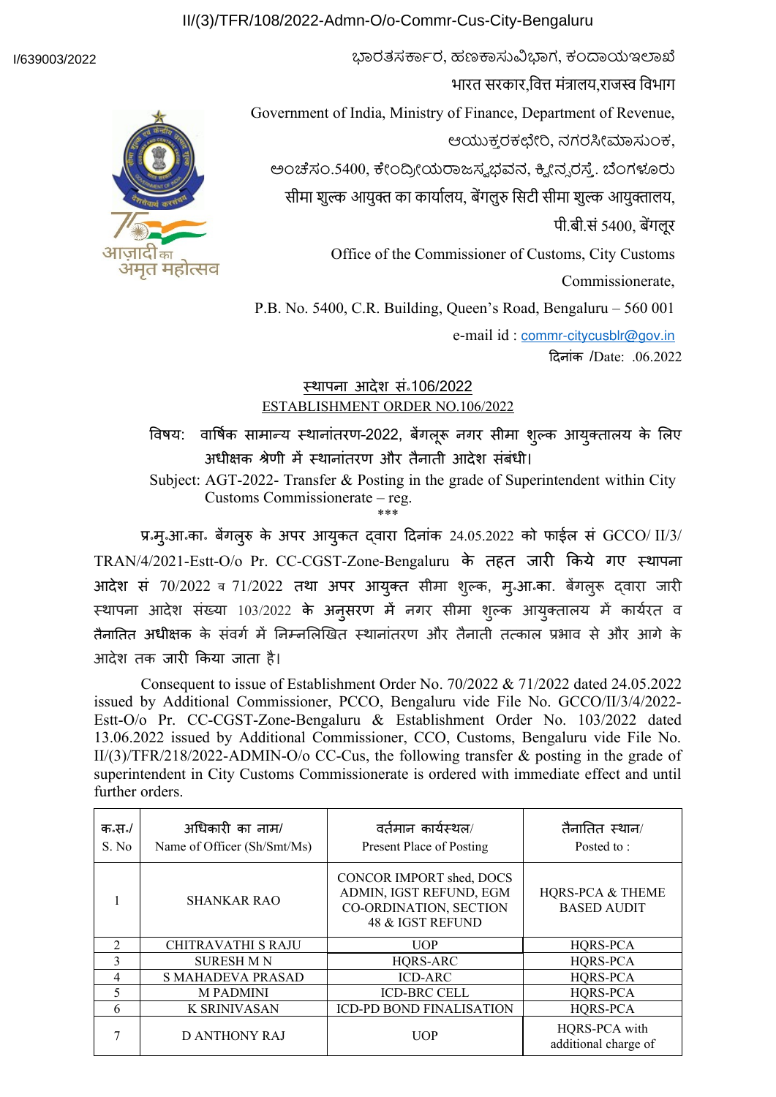## II/(3)/TFR/108/2022-Admn-O/o-Commr-Cus-City-Bengaluru

### I/639003/2022



भारत सरकार वित्त मंत्रालय राजस्व विभाग Government of India, Ministry of Finance, Department of Revenue, ಆಯುಕ್ತ ರಕಛೇರಿ, ನಗರಸೀಮಾಸುಂಕ, ಅಂಚೆಸಂ.5400, ಕೇಂದ್ರೀಯರಾಜಸ್ವಭವನ, ಕ್ವೀನ್ನರಸ್ತೆ. ಬೆಂಗಳೂರು सीमा शुल्क आयुक्त का कार्यालय, बेंगलुरु सिटी सीमा शुल्क आयुक्तालय, पी.बी.सं 5400, बेंगलूर Office of the Commissioner of Customs, City Customs Commissionerate, P.B. No. 5400, C.R. Building, Queen's Road, Bengaluru – 560 001 e-mail id : [commr-citycusblr@gov.in](mailto:commr-citycusblr@gov.in)

ಭಾರತಸರ್ಕಾರ, ಹಣಕಾಸುವಿಭಾಗ, ಕಂದಾಯಇಲಾಖೆ

दिनांक /Date: .06.2022

# <u>स्थापना आदेश सन्106/2022</u> ESTABLISHMENT ORDER NO.106/2022

विषय: ार्षिक सामान्य स्थानांतरण–2022, बेंगलूरू नगर सीमा शुल्क आयुक्तालय के लिए अधीक्षक श्रेणी में स्थानांतरण और तैनाती आदेश संबंधी।

Subject: AGT-2022- Transfer & Posting in the grade of Superintendent within City Customs Commissionerate – reg. \*\*\*

प्र॰मु॰आ॰का॰ बेंगलुरु के अपर आयुकत द्वारा दिनांक 24.05.2022 को फाईल सं GCCO/ II/3/ TRAN/4/2021-Estt-O/o Pr. CC-CGST-Zone-Bengaluru के तहत जारी किये गए स्थापना आदेश सं 70/2022 व 71/2022 तथा अपर आयुक्त सीमा शुल्क, मुन्आन्का. बेंगलुरू द्वारा जारी स्थापना आदेश संख्या 103/2022 के अनुसरण में नगर सीमा शुल्क आयुक्तालय में कार्यरत व तैनातित अधीक्षक के संवर्ग में निम्नलिखित स्थानांतरण और तैनाती तत्काल प्रभाव से और आगे के आ-ेश तक जारी किया जाता है।

Consequent to issue of Establishment Order No. 70/2022 & 71/2022 dated 24.05.2022 issued by Additional Commissioner, PCCO, Bengaluru vide File No. GCCO/II/3/4/2022- Estt-O/o Pr. CC-CGST-Zone-Bengaluru & Establishment Order No. 103/2022 dated 13.06.2022 issued by Additional Commissioner, CCO, Customs, Bengaluru vide File No. II/(3)/TFR/218/2022-ADMIN-O/o CC-Cus, the following transfer & posting in the grade of superintendent in City Customs Commissionerate is ordered with immediate effect and until further orders.

| क॰स॰/<br>S. No | अधिकारी का नाम/<br>Name of Officer (Sh/Smt/Ms) | वर्तमान कार्यस्थल/<br>Present Place of Posting                                                    | तैनातित स्थान/<br>Posted to:                      |
|----------------|------------------------------------------------|---------------------------------------------------------------------------------------------------|---------------------------------------------------|
|                | <b>SHANKAR RAO</b>                             | CONCOR IMPORT shed, DOCS<br>ADMIN, IGST REFUND, EGM<br>CO-ORDINATION, SECTION<br>48 & IGST REFUND | <b>HQRS-PCA &amp; THEME</b><br><b>BASED AUDIT</b> |
| $\mathfrak{D}$ | <b>CHITRAVATHI S RAJU</b>                      | <b>UOP</b>                                                                                        | HQRS-PCA                                          |
| $\mathcal{L}$  | <b>SURESH M N</b>                              | HQRS-ARC                                                                                          | HQRS-PCA                                          |
| 4              | <b>S MAHADEVA PRASAD</b>                       | <b>ICD-ARC</b>                                                                                    | HQRS-PCA                                          |
| 5              | <b>MPADMINI</b>                                | <b>ICD-BRC CELL</b>                                                                               | HQRS-PCA                                          |
| 6              | <b>K SRINIVASAN</b>                            | <b>ICD-PD BOND FINALISATION</b>                                                                   | HQRS-PCA                                          |
|                | D ANTHONY RAJ                                  | <b>UOP</b>                                                                                        | HQRS-PCA with<br>additional charge of             |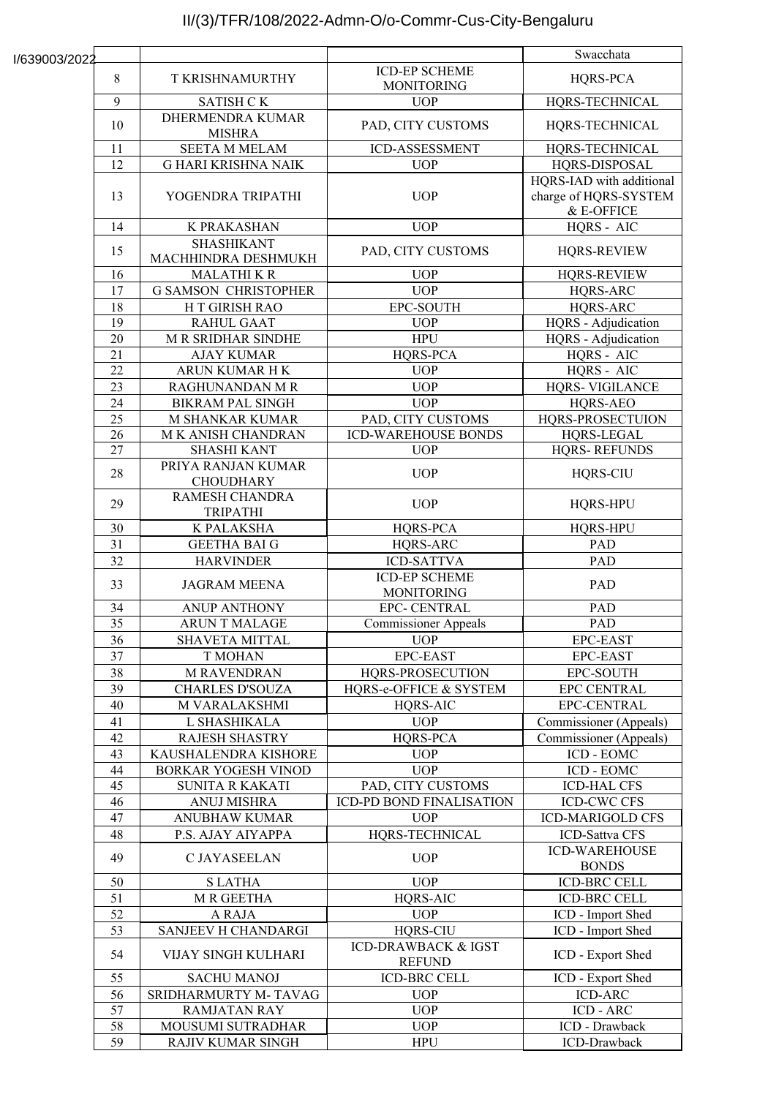# II/(3)/TFR/108/2022-Admn-O/o-Commr-Cus-City-Bengaluru

|               |                 |                                          |                                                 | Swacchata                                                       |
|---------------|-----------------|------------------------------------------|-------------------------------------------------|-----------------------------------------------------------------|
| I/639003/2022 |                 |                                          | <b>ICD-EP SCHEME</b>                            |                                                                 |
|               | 8               | <b>T KRISHNAMURTHY</b>                   | <b>MONITORING</b>                               | HQRS-PCA                                                        |
|               | $\overline{9}$  | SATISH CK                                | <b>UOP</b>                                      | HQRS-TECHNICAL                                                  |
|               | 10              | DHERMENDRA KUMAR<br><b>MISHRA</b>        | PAD, CITY CUSTOMS                               | HQRS-TECHNICAL                                                  |
|               | 11              | <b>SEETA M MELAM</b>                     | ICD-ASSESSMENT                                  | HQRS-TECHNICAL                                                  |
|               | 12              | <b>G HARI KRISHNA NAIK</b>               | <b>UOP</b>                                      | HQRS-DISPOSAL                                                   |
|               | 13              | YOGENDRA TRIPATHI                        | <b>UOP</b>                                      | HQRS-IAD with additional<br>charge of HQRS-SYSTEM<br>& E-OFFICE |
|               | 14              | K PRAKASHAN                              | <b>UOP</b>                                      | HQRS - AIC                                                      |
|               | 15              | <b>SHASHIKANT</b><br>MACHHINDRA DESHMUKH | PAD, CITY CUSTOMS                               | <b>HQRS-REVIEW</b>                                              |
|               | 16              | <b>MALATHIKR</b>                         | <b>UOP</b>                                      | <b>HQRS-REVIEW</b>                                              |
|               | 17              | <b>G SAMSON CHRISTOPHER</b>              | <b>UOP</b>                                      | HQRS-ARC                                                        |
|               | 18              | H T GIRISH RAO                           | EPC-SOUTH                                       | HQRS-ARC                                                        |
|               | 19              | <b>RAHUL GAAT</b>                        | <b>UOP</b>                                      | HQRS - Adjudication                                             |
|               | 20              | <b>M R SRIDHAR SINDHE</b>                | <b>HPU</b>                                      | HQRS - Adjudication                                             |
|               | 21              | <b>AJAY KUMAR</b>                        | HQRS-PCA                                        | HQRS - AIC                                                      |
|               | 22              | ARUN KUMAR HK                            | <b>UOP</b>                                      | HQRS - AIC                                                      |
|               | 23              | RAGHUNANDAN M R                          | <b>UOP</b>                                      | <b>HQRS- VIGILANCE</b>                                          |
|               | 24              | <b>BIKRAM PAL SINGH</b>                  | <b>UOP</b>                                      | HQRS-AEO                                                        |
|               | 25              | M SHANKAR KUMAR                          | PAD, CITY CUSTOMS                               | HQRS-PROSECTUION                                                |
|               | 26              | M K ANISH CHANDRAN                       | <b>ICD-WAREHOUSE BONDS</b>                      | HQRS-LEGAL                                                      |
|               | 27              | <b>SHASHI KANT</b>                       | <b>UOP</b>                                      | <b>HQRS-REFUNDS</b>                                             |
|               | 28              | PRIYA RANJAN KUMAR<br><b>CHOUDHARY</b>   | <b>UOP</b>                                      | <b>HQRS-CIU</b>                                                 |
|               | 29              | RAMESH CHANDRA<br><b>TRIPATHI</b>        | <b>UOP</b>                                      | HQRS-HPU                                                        |
|               | 30              | K PALAKSHA                               | HQRS-PCA                                        | HQRS-HPU                                                        |
|               | 31              | <b>GEETHA BAI G</b>                      | HQRS-ARC                                        | <b>PAD</b>                                                      |
|               | 32              | <b>HARVINDER</b>                         | <b>ICD-SATTVA</b>                               | <b>PAD</b>                                                      |
|               | 33              | <b>JAGRAM MEENA</b>                      | <b>ICD-EP SCHEME</b><br><b>MONITORING</b>       | PAD                                                             |
|               | 34              | <b>ANUP ANTHONY</b>                      | EPC- CENTRAL                                    | PAD                                                             |
|               | 35              | <b>ARUN T MALAGE</b>                     | <b>Commissioner</b> Appeals                     | PAD                                                             |
|               | 36              | SHAVETA MITTAL                           | <b>UOP</b>                                      | EPC-EAST                                                        |
|               | 37              | <b>T MOHAN</b>                           | EPC-EAST                                        | <b>EPC-EAST</b>                                                 |
|               | 38              | <b>M RAVENDRAN</b>                       | HQRS-PROSECUTION                                | <b>EPC-SOUTH</b>                                                |
|               | 39              | <b>CHARLES D'SOUZA</b>                   | HQRS-e-OFFICE & SYSTEM                          | <b>EPC CENTRAL</b>                                              |
|               | 40              | M VARALAKSHMI                            | HQRS-AIC                                        | EPC-CENTRAL                                                     |
|               | 41              | L SHASHIKALA                             | <b>UOP</b>                                      | Commissioner (Appeals)                                          |
|               | 42              | <b>RAJESH SHASTRY</b>                    | HQRS-PCA                                        | Commissioner (Appeals)                                          |
|               | 43              | KAUSHALENDRA KISHORE                     | <b>UOP</b>                                      | ICD - EOMC                                                      |
|               | 44              | <b>BORKAR YOGESH VINOD</b>               | <b>UOP</b>                                      | ICD - EOMC                                                      |
|               | 45              | <b>SUNITA R KAKATI</b>                   | PAD, CITY CUSTOMS                               | <b>ICD-HAL CFS</b>                                              |
|               | 46              | <b>ANUJ MISHRA</b>                       | ICD-PD BOND FINALISATION                        | <b>ICD-CWC CFS</b>                                              |
|               | 47              | <b>ANUBHAW KUMAR</b>                     | <b>UOP</b>                                      | <b>ICD-MARIGOLD CFS</b>                                         |
|               | 48              | P.S. AJAY AIYAPPA                        | HQRS-TECHNICAL                                  | ICD-Sattva CFS                                                  |
|               | 49              | C JAYASEELAN                             | <b>UOP</b>                                      | <b>ICD-WAREHOUSE</b><br><b>BONDS</b>                            |
|               | 50              | <b>SLATHA</b>                            | <b>UOP</b>                                      | <b>ICD-BRC CELL</b>                                             |
|               | 51              | <b>M R GEETHA</b>                        | HQRS-AIC                                        | <b>ICD-BRC CELL</b>                                             |
|               | 52              | A RAJA                                   | <b>UOP</b>                                      | ICD - Import Shed                                               |
|               | 53              | SANJEEV H CHANDARGI                      | <b>HQRS-CIU</b>                                 | ICD - Import Shed                                               |
|               | 54              | VIJAY SINGH KULHARI                      | <b>ICD-DRAWBACK &amp; IGST</b><br><b>REFUND</b> | ICD - Export Shed                                               |
|               | 55              | <b>SACHU MANOJ</b>                       | <b>ICD-BRC CELL</b>                             | ICD - Export Shed                                               |
|               | 56              | SRIDHARMURTY M-TAVAG                     | <b>UOP</b>                                      | <b>ICD-ARC</b>                                                  |
|               | $\overline{57}$ | <b>RAMJATAN RAY</b>                      | <b>UOP</b>                                      | <b>ICD - ARC</b>                                                |
|               | 58              | MOUSUMI SUTRADHAR                        | <b>UOP</b>                                      | ICD - Drawback                                                  |
|               | 59              | RAJIV KUMAR SINGH                        | <b>HPU</b>                                      | ICD-Drawback                                                    |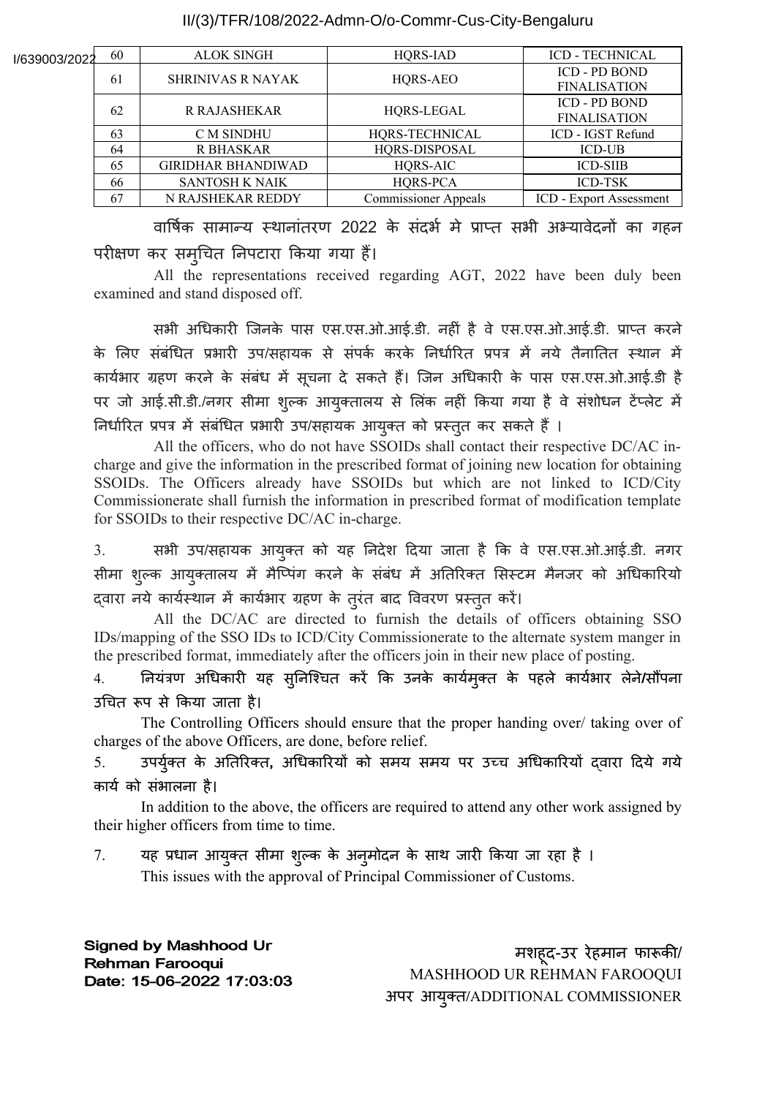### II/(3)/TFR/108/2022-Admn-O/o-Commr-Cus-City-Bengaluru

| l/639003/2022 | 60 | <b>ALOK SINGH</b>         | HQRS-IAD                    | <b>ICD - TECHNICAL</b>               |
|---------------|----|---------------------------|-----------------------------|--------------------------------------|
|               | 61 | <b>SHRINIVAS R NAYAK</b>  | HQRS-AEO                    | ICD - PD BOND<br><b>FINALISATION</b> |
|               | 62 | <b>R RAJASHEKAR</b>       | HQRS-LEGAL                  | ICD - PD BOND<br><b>FINALISATION</b> |
|               | 63 | <b>C M SINDHU</b>         | HQRS-TECHNICAL              | ICD - IGST Refund                    |
|               | 64 | R BHASKAR                 | HQRS-DISPOSAL               | <b>ICD-UB</b>                        |
|               | 65 | <b>GIRIDHAR BHANDIWAD</b> | <b>HORS-AIC</b>             | <b>ICD-SIIB</b>                      |
|               | 66 | <b>SANTOSH K NAIK</b>     | HQRS-PCA                    | <b>ICD-TSK</b>                       |
|               | 67 | N RAJSHEKAR REDDY         | <b>Commissioner Appeals</b> | <b>ICD</b> - Export Assessment       |

वार्षिक सामान्य स्थानांतरण 2022 के सदभे में प्राप्त सभी अभ्यावेदनों का गहन परीक्षण कर सम्**चित निपटारा किया गया** हैं।

All the representations received regarding AGT, 2022 have been duly been examined and stand disposed off.

सभी अधिकारी जिनके पास एस.एस.ओ.आई.डी. नहीं है े एस.एस.ओ.आई.डी. प्राप्त करने के लिए संबंधित प्रभारी उप/सहायक से संपर्क करके निर्धारित प्रपत्र में नये तैनातित स्थान में कार्यभार ग्रहण करने के संबंध में सूचना दे सकते हैं। जिन अधिकारी के पास एस.एस.ओ.आई.डी है पर जो आई.सी.डी./नगर सीमा शुल्क आयुक्तालय से लिंक नहीं किया गया है वे संशोधन टेंप्लेट में निर्धारित प्रपत्र में संबंधित प्रभारी उप/सहायक आयुक्त को प्रस्तुत कर सकते हैं ।

All the officers, who do not have SSOIDs shall contact their respective DC/AC incharge and give the information in the prescribed format of joining new location for obtaining SSOIDs. The Officers already have SSOIDs but which are not linked to ICD/City Commissionerate shall furnish the information in prescribed format of modification template for SSOIDs to their respective DC/AC in-charge.

3. सभी उप/सहायक आयुक्त को यह निदेश दिया जाता है कि वे एस.एस.ओ.आई.डी. नगर सीमा शुल्क आयुक्तालय में मैप्पिंग करने के संबंध में अतिरिक्त सिस्टम मैनजर को अधिकारियो द्वारा नये कार्यस्थान में कार्यभार ग्रहण के तुरत बाद विवरण प्रस्तुत करें।

 All the DC/AC are directed to furnish the details of officers obtaining SSO IDs/mapping of the SSO IDs to ICD/City Commissionerate to the alternate system manger in the prescribed format, immediately after the officers join in their new place of posting.

4. नियंत्रण अधिकारी यह सुनिश्चित करें कि उनके कार्यमुक्त के पहले कार्यभार लेने**/**सौंपना उचित रूप से किया जाता है।

The Controlling Officers should ensure that the proper handing over/ taking over of charges of the above Officers, are done, before relief.

5. उपर्युक्त के अतिरिक्त, अधिकारियों को समय समय पर उच्च अधिकारियों द्वारा दिये गये कार्य को संभालना है।

In addition to the above, the officers are required to attend any other work assigned by their higher officers from time to time.

7. यह प्रधान आयुक्त सीमा शुल्क के अनुमोदन के साथ जारी किया जा रहा है । This issues with the approval of Principal Commissioner of Customs.

**Signed by Mashhood Ur Rehman Farooqui** Date: 15-06-2022 17:03:03

मशहू--उर रेहमान फारूकी/ MASHHOOD UR REHMAN FAROOQUI अपर आयुक्त**/**ADDITIONAL COMMISSIONER